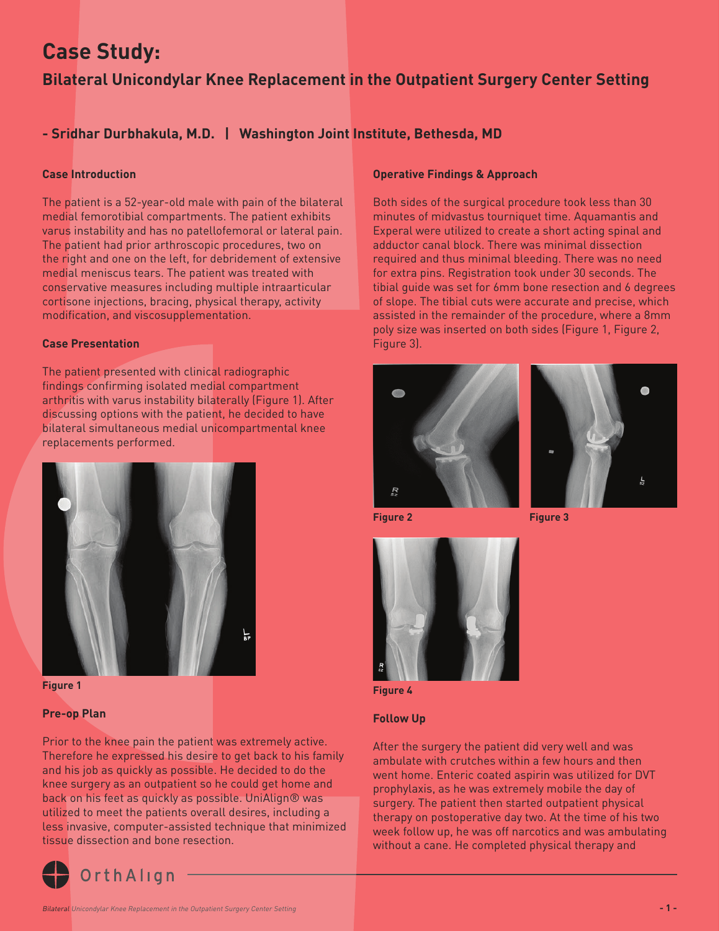# **Case Study:**

## **Bilateral Unicondylar Knee Replacement in the Outpatient Surgery Center Setting**

## **- Sridhar Durbhakula, M.D. | Washington Joint Institute, Bethesda, MD**

#### **Case Introduction**

The patient is a 52-year-old male with pain of the bilateral medial femorotibial compartments. The patient exhibits varus instability and has no patellofemoral or lateral pain. The patient had prior arthroscopic procedures, two on the right and one on the left, for debridement of extensive medial meniscus tears. The patient was treated with conservative measures including multiple intraarticular cortisone injections, bracing, physical therapy, activity modification, and viscosupplementation.

#### **Case Presentation**

The patient presented with clinical radiographic findings confirming isolated medial compartment arthritis with varus instability bilaterally (Figure 1). After discussing options with the patient, he decided to have bilateral simultaneous medial unicompartmental knee replacements performed.



**Figure 1**

#### **Pre-op Plan**

Prior to the knee pain the patient was extremely active. Therefore he expressed his desire to get back to his family and his job as quickly as possible. He decided to do the knee surgery as an outpatient so he could get home and back on his feet as quickly as possible. UniAlign® was utilized to meet the patients overall desires, including a less invasive, computer-assisted technique that minimized tissue dissection and bone resection.



#### **Operative Findings & Approach**

Both sides of the surgical procedure took less than 30 minutes of midvastus tourniquet time. Aquamantis and Experal were utilized to create a short acting spinal and adductor canal block. There was minimal dissection required and thus minimal bleeding. There was no need for extra pins. Registration took under 30 seconds. The tibial guide was set for 6mm bone resection and 6 degrees of slope. The tibial cuts were accurate and precise, which assisted in the remainder of the procedure, where a 8mm poly size was inserted on both sides (Figure 1, Figure 2, Figure 3).





**Figure 2** Figure 3



**Figure 4**

#### **Follow Up**

After the surgery the patient did very well and was ambulate with crutches within a few hours and then went home. Enteric coated aspirin was utilized for DVT prophylaxis, as he was extremely mobile the day of surgery. The patient then started outpatient physical therapy on postoperative day two. At the time of his two week follow up, he was off narcotics and was ambulating without a cane. He completed physical therapy and